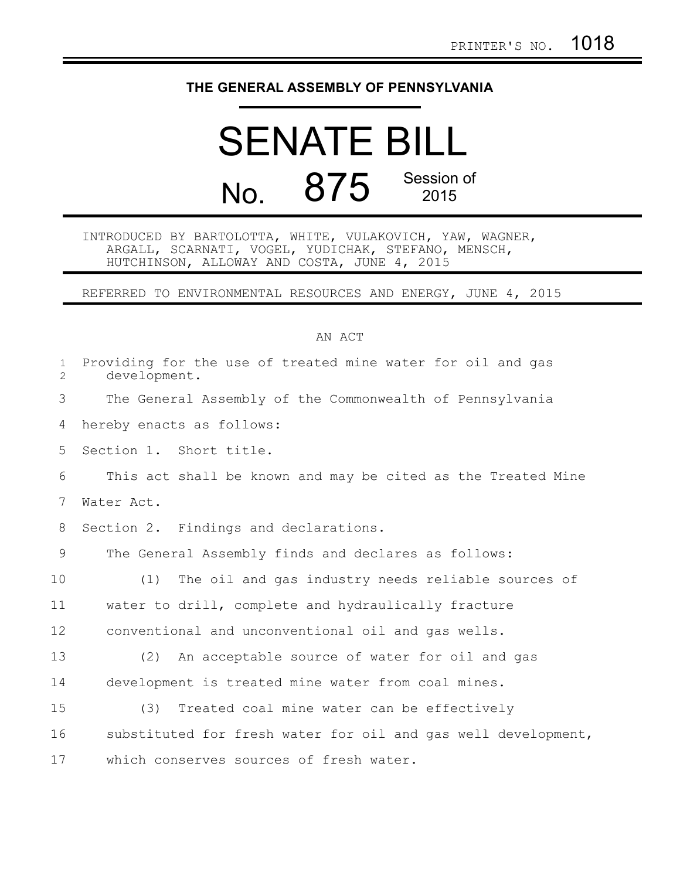## **THE GENERAL ASSEMBLY OF PENNSYLVANIA**

# SENATE BILL No. 875 Session of 2015

#### INTRODUCED BY BARTOLOTTA, WHITE, VULAKOVICH, YAW, WAGNER, ARGALL, SCARNATI, VOGEL, YUDICHAK, STEFANO, MENSCH, HUTCHINSON, ALLOWAY AND COSTA, JUNE 4, 2015

### REFERRED TO ENVIRONMENTAL RESOURCES AND ENERGY, JUNE 4, 2015

#### AN ACT

| $\mathbf{1}$<br>$\overline{2}$ | Providing for the use of treated mine water for oil and gas<br>development. |
|--------------------------------|-----------------------------------------------------------------------------|
| 3                              | The General Assembly of the Commonwealth of Pennsylvania                    |
| 4                              | hereby enacts as follows:                                                   |
| 5                              | Section 1. Short title.                                                     |
| 6                              | This act shall be known and may be cited as the Treated Mine                |
| 7                              | Water Act.                                                                  |
| 8                              | Section 2. Findings and declarations.                                       |
| 9                              | The General Assembly finds and declares as follows:                         |
| 10                             | (1)<br>The oil and gas industry needs reliable sources of                   |
| 11                             | water to drill, complete and hydraulically fracture                         |
| 12                             | conventional and unconventional oil and gas wells.                          |
| 13                             | (2)<br>An acceptable source of water for oil and gas                        |
| 14                             | development is treated mine water from coal mines.                          |
| 15                             | Treated coal mine water can be effectively<br>(3)                           |
| 16                             | substituted for fresh water for oil and gas well development,               |
| 17                             | which conserves sources of fresh water.                                     |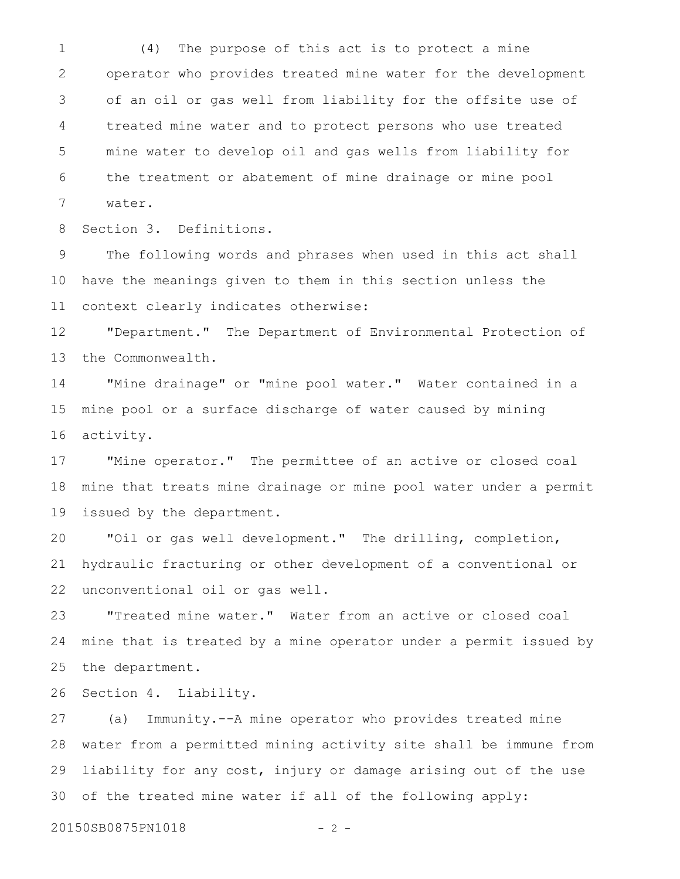(4) The purpose of this act is to protect a mine operator who provides treated mine water for the development of an oil or gas well from liability for the offsite use of treated mine water and to protect persons who use treated mine water to develop oil and gas wells from liability for the treatment or abatement of mine drainage or mine pool water. 1 2 3 4 5 6 7

Section 3. Definitions. 8

The following words and phrases when used in this act shall have the meanings given to them in this section unless the context clearly indicates otherwise: 9 10 11

"Department." The Department of Environmental Protection of the Commonwealth. 12 13

"Mine drainage" or "mine pool water." Water contained in a mine pool or a surface discharge of water caused by mining activity. 14 15 16

"Mine operator." The permittee of an active or closed coal mine that treats mine drainage or mine pool water under a permit issued by the department. 17 18 19

"Oil or gas well development." The drilling, completion, hydraulic fracturing or other development of a conventional or unconventional oil or gas well. 20 21 22

"Treated mine water." Water from an active or closed coal mine that is treated by a mine operator under a permit issued by the department. 23 24 25

Section 4. Liability. 26

(a) Immunity.--A mine operator who provides treated mine water from a permitted mining activity site shall be immune from liability for any cost, injury or damage arising out of the use of the treated mine water if all of the following apply: 27 28 29 30

20150SB0875PN1018 - 2 -